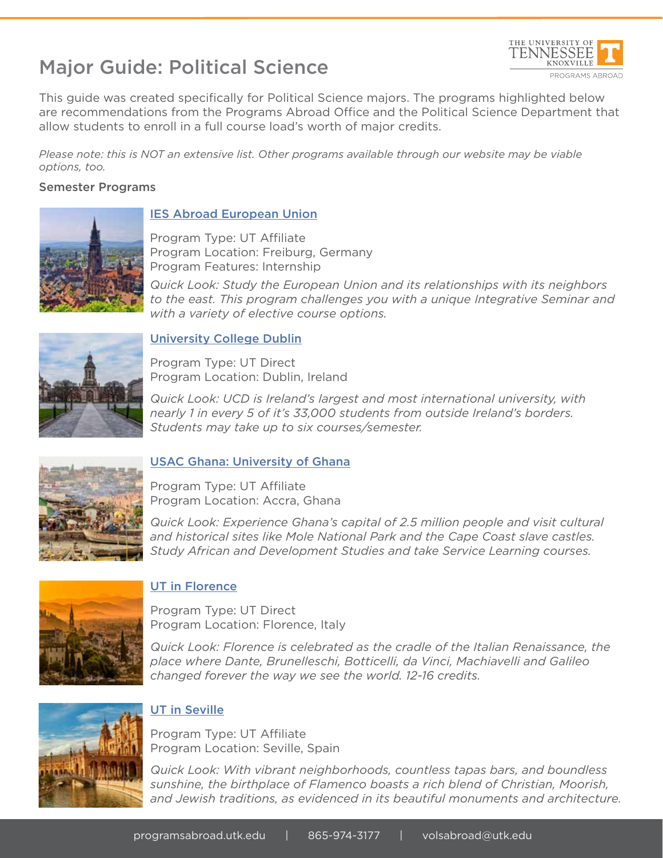# Major Guide: Political Science



This guide was created specifically for Political Science majors. The programs highlighted below are recommendations from the Programs Abroad Office and the Political Science Department that allow students to enroll in a full course load's worth of major credits.

*Please note: this is NOT an extensive list. Other programs available through our website may be viable options, too.*

#### Semester Programs



### IES Abroad European Union

Program Type: UT Affiliate Program Location: Freiburg, Germany Program Features: Internship

*Quick Look: Study the European Union and its relationships with its neighbors to the east. This program challenges you with a unique Integrative Seminar and with a variety of elective course options.*



### University College Dublin

Program Type: UT Direct Program Location: Dublin, Ireland

*Quick Look: UCD is Ireland's largest and most international university, with nearly 1 in every 5 of it's 33,000 students from outside Ireland's borders. Students may take up to six courses/semester.*



## USAC Ghana: University of Ghana

Program Type: UT Affiliate Program Location: Accra, Ghana

*Quick Look: Experience Ghana's capital of 2.5 million people and visit cultural and historical sites like Mole National Park and the Cape Coast slave castles. Study African and Development Studies and take Service Learning courses.*



## UT in Florence

Program Type: UT Direct Program Location: Florence, Italy

*Quick Look: Florence is celebrated as the cradle of the Italian Renaissance, the place where Dante, Brunelleschi, Botticelli, da Vinci, Machiavelli and Galileo changed forever the way we see the world. 12-16 credits.*



## UT in Seville

Program Type: UT Affiliate Program Location: Seville, Spain

*Quick Look: With vibrant neighborhoods, countless tapas bars, and boundless sunshine, the birthplace of Flamenco boasts a rich blend of Christian, Moorish, and Jewish traditions, as evidenced in its beautiful monuments and architecture.*